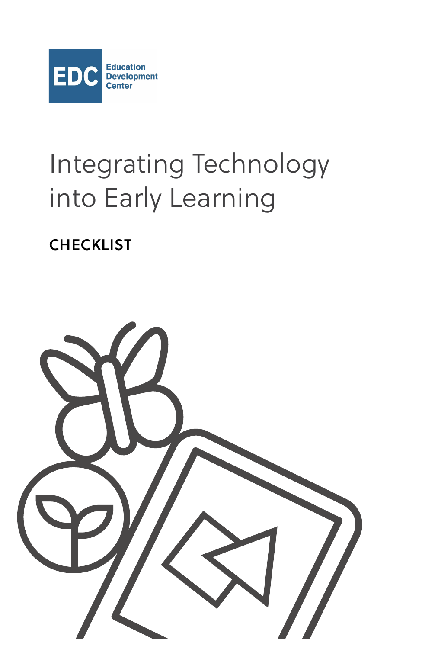

# Integrating Technology into Early Learning

**CHECKLIST**

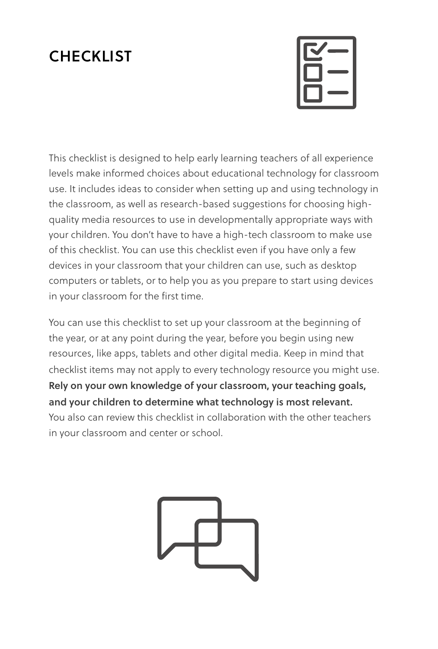## **CHECKLIST**



This checklist is designed to help early learning teachers of all experience levels make informed choices about educational technology for classroom use. It includes ideas to consider when setting up and using technology in the classroom, as well as research-based suggestions for choosing highquality media resources to use in developmentally appropriate ways with your children. You don't have to have a high-tech classroom to make use of this checklist. You can use this checklist even if you have only a few devices in your classroom that your children can use, such as desktop computers or tablets, or to help you as you prepare to start using devices in your classroom for the first time.

You can use this checklist to set up your classroom at the beginning of the year, or at any point during the year, before you begin using new resources, like apps, tablets and other digital media. Keep in mind that checklist items may not apply to every technology resource you might use. **Rely on your own knowledge of your classroom, your teaching goals, and your children to determine what technology is most relevant.** You also can review this checklist in collaboration with the other teachers in your classroom and center or school.

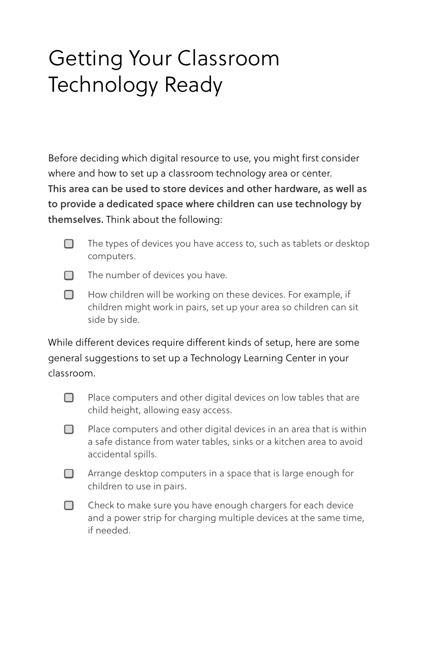## Getting Your Classroom Technology Ready

Before deciding which digital resource to use, you might first consider where and how to set up a classroom technology area or center. **This area can be used to store devices and other hardware, as well as to provide a dedicated space where children can use technology by themselves.** Think about the following:

 $\Box$  The types of devices you have access to, such as tablets or desktop computers.

 $\Box$  The number of devices you have.

 $\Box$  How children will be working on these devices. For example, if children might work in pairs, set up your area so children can sit side by side.

While different devices require different kinds of setup, here are some general suggestions to set up a Technology Learning Center in your classroom.

 $\Box$  Place computers and other digital devices on low tables that are child height, allowing easy access.

 $\Box$  Place computers and other digital devices in an area that is within a safe distance from water tables, sinks or a kitchen area to avoid accidental spills.

**□** Arrange desktop computers in a space that is large enough for children to use in pairs.

 $\Box$  Check to make sure you have enough chargers for each device and a power strip for charging multiple devices at the same time, if needed.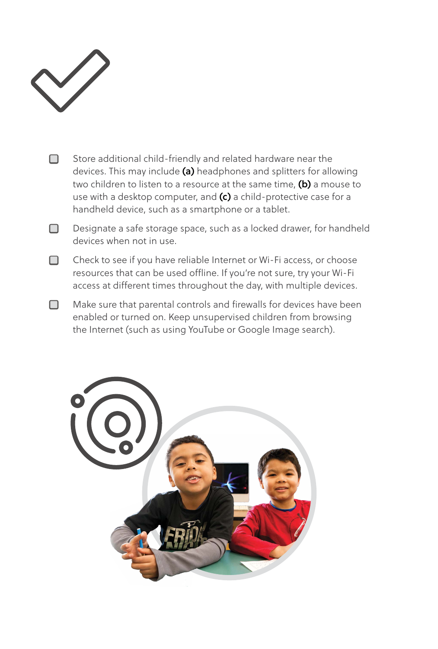

- □ Store additional child-friendly and related hardware near the devices. This may include **(a)** headphones and splitters for allowing two children to listen to a resource at the same time, **(b)** a mouse to use with a desktop computer, and **(c)** a child-protective case for a handheld device, such as a smartphone or a tablet.
- □ Designate a safe storage space, such as a locked drawer, for handheld devices when not in use.
- □ Check to see if you have reliable Internet or Wi-Fi access, or choose resources that can be used offline. If you're not sure, try your Wi-Fi access at different times throughout the day, with multiple devices.
- $\Box$  Make sure that parental controls and firewalls for devices have been enabled or turned on. Keep unsupervised children from browsing the Internet (such as using YouTube or Google Image search).

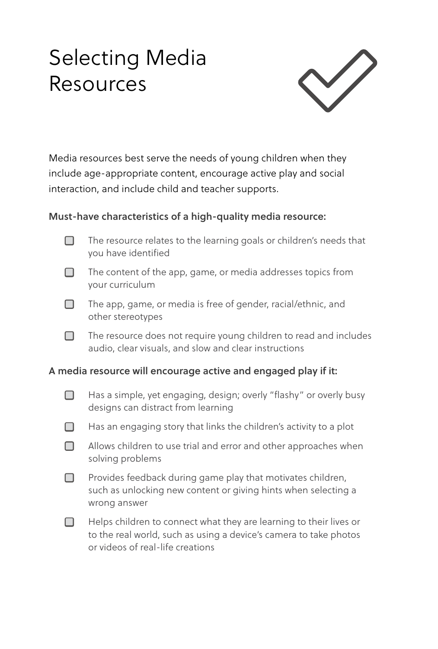## Selecting Media Resources



Media resources best serve the needs of young children when they include age-appropriate content, encourage active play and social interaction, and include child and teacher supports.

### **Must-have characteristics of a high-quality media resource:**

- □ The resource relates to the learning goals or children's needs that you have identified
- □ The content of the app, game, or media addresses topics from your curriculum
- $\Box$  The app, game, or media is free of gender, racial/ethnic, and other stereotypes
- $\Box$  The resource does not require young children to read and includes audio, clear visuals, and slow and clear instructions

#### **A media resource will encourage active and engaged play if it:**

- □ Has a simple, yet engaging, design; overly "flashy" or overly busy designs can distract from learning
- $\Box$  Has an engaging story that links the children's activity to a plot
- □ Allows children to use trial and error and other approaches when solving problems
- $\Box$  Provides feedback during game play that motivates children, such as unlocking new content or giving hints when selecting a wrong answer
- $\Box$  Helps children to connect what they are learning to their lives or to the real world, such as using a device's camera to take photos or videos of real-life creations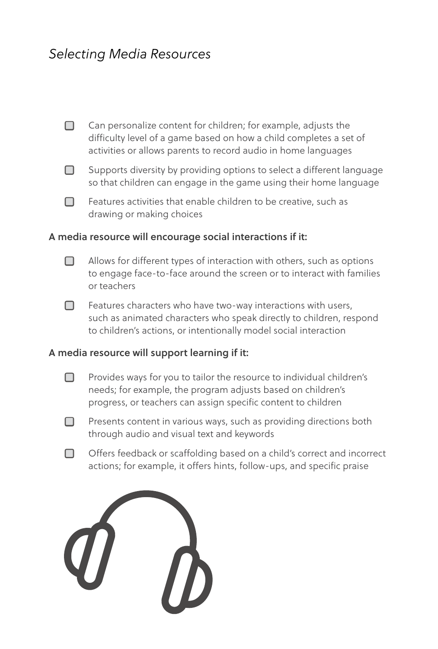## *Selecting Media Resources*



 $\Box$  Supports diversity by providing options to select a different language so that children can engage in the game using their home language



 $\Box$  Features activities that enable children to be creative, such as drawing or making choices

#### **A media resource will encourage social interactions if it:**

- $\Box$  Allows for different types of interaction with others, such as options to engage face-to-face around the screen or to interact with families or teachers
- $\Box$  Features characters who have two-way interactions with users, such as animated characters who speak directly to children, respond to children's actions, or intentionally model social interaction

#### **A media resource will support learning if it:**

- $\Box$  Provides ways for you to tailor the resource to individual children's needs; for example, the program adjusts based on children's progress, or teachers can assign specific content to children
- □ Presents content in various ways, such as providing directions both through audio and visual text and keywords
- □ Offers feedback or scaffolding based on a child's correct and incorrect actions; for example, it offers hints, follow-ups, and specific praise

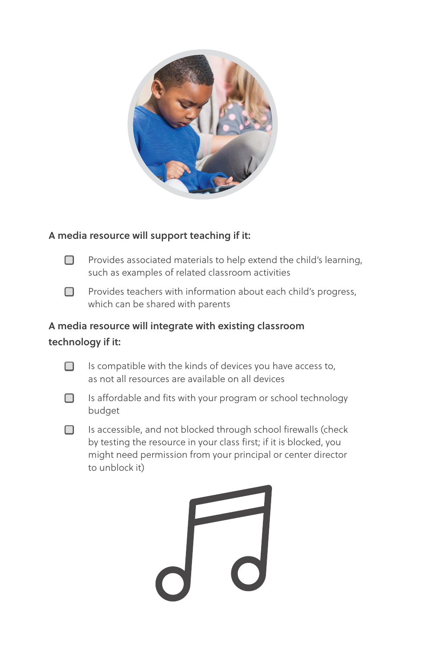

### **A media resource will support teaching if it:**

 $\Box$  Provides associated materials to help extend the child's learning, such as examples of related classroom activities

 $\Box$  Provides teachers with information about each child's progress, which can be shared with parents

## **A media resource will integrate with existing classroom technology if it:**



 $\Box$  Is compatible with the kinds of devices you have access to, as not all resources are available on all devices



□ Is affordable and fits with your program or school technology budget

 $\Box$  Is accessible, and not blocked through school firewalls (check by testing the resource in your class first; if it is blocked, you might need permission from your principal or center director to unblock it)